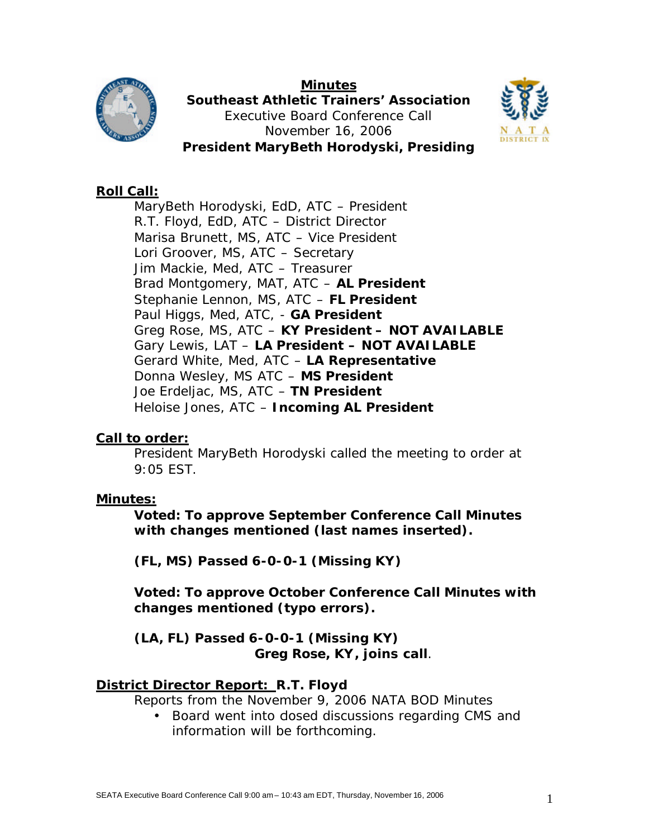

**Minutes Southeast Athletic Trainers' Association** Executive Board Conference Call November 16, 2006 **President MaryBeth Horodyski, Presiding**



# **Roll Call:**

MaryBeth Horodyski, EdD, ATC – President R.T. Floyd, EdD, ATC – District Director Marisa Brunett, MS, ATC – Vice President Lori Groover, MS, ATC – Secretary Jim Mackie, Med, ATC – Treasurer Brad Montgomery, MAT, ATC – **AL President** Stephanie Lennon, MS, ATC – **FL President** Paul Higgs, Med, ATC, - **GA President** Greg Rose, MS, ATC – **KY President – NOT AVAILABLE** Gary Lewis, LAT – **LA President – NOT AVAILABLE** Gerard White, Med, ATC – **LA Representative**  Donna Wesley, MS ATC – **MS President** Joe Erdeljac, MS, ATC – **TN President** Heloise Jones, ATC – **Incoming AL President**

### **Call to order:**

President MaryBeth Horodyski called the meeting to order at 9:05 EST.

#### **Minutes:**

**Voted: To approve September Conference Call Minutes with changes mentioned (last names inserted).**

**(FL, MS) Passed 6-0-0-1 (Missing KY)**

**Voted: To approve October Conference Call Minutes with changes mentioned (typo errors).**

**(LA, FL) Passed 6-0-0-1 (Missing KY)** *Greg Rose, KY, joins call.*

### **District Director Report: R.T. Floyd**

Reports from the November 9, 2006 NATA BOD Minutes

• Board went into closed discussions regarding CMS and information will be forthcoming.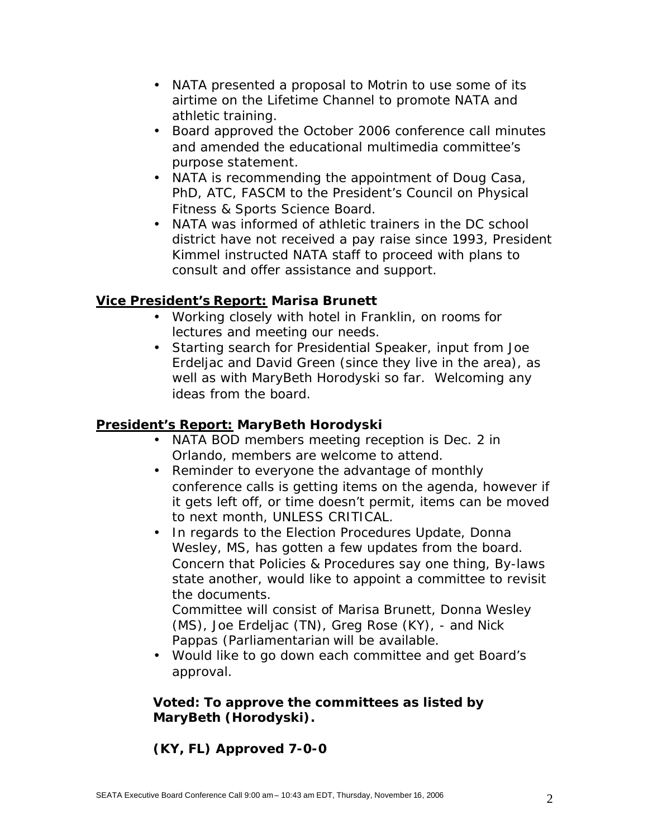- NATA presented a proposal to Motrin to use some of its airtime on the Lifetime Channel to promote NATA and athletic training.
- Board approved the October 2006 conference call minutes and amended the educational multimedia committee's purpose statement.
- NATA is recommending the appointment of Doug Casa, PhD, ATC, FASCM to the President's Council on Physical Fitness & Sports Science Board.
- NATA was informed of athletic trainers in the DC school district have not received a pay raise since 1993, President Kimmel instructed NATA staff to proceed with plans to consult and offer assistance and support.

## **Vice President's Report: Marisa Brunett**

- Working closely with hotel in Franklin, on rooms for lectures and meeting our needs.
- Starting search for Presidential Speaker, input from Joe Erdeljac and David Green (since they live in the area), as well as with MaryBeth Horodyski so far. Welcoming any ideas from the board.

### **President's Report: MaryBeth Horodyski**

- NATA BOD members meeting reception is Dec. 2 in Orlando, members are welcome to attend.
- Reminder to everyone the advantage of monthly conference calls is getting items on the agenda, however if it gets left off, or time doesn't permit, items can be moved to next month, UNLESS CRITICAL.
- In regards to the Election Procedures Update, Donna Wesley, MS, has gotten a few updates from the board. Concern that Policies & Procedures say one thing, By-laws state another, would like to appoint a committee to revisit the documents.

Committee will consist of Marisa Brunett, Donna Wesley (MS), Joe Erdeljac (TN), Greg Rose (KY), - and Nick Pappas (Parliamentarian will be available.

• Would like to go down each committee and get Board's approval.

### **Voted: To approve the committees as listed by MaryBeth (Horodyski).**

# **(KY, FL) Approved 7-0-0**